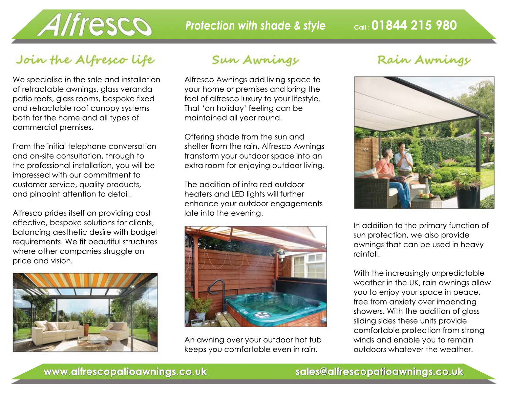

*Protection with shade & style* **Call: 01844 215 980** 

## Join the Alfresco life

We specialise in the sale and installation of retractable awnings, glass veranda patio roofs, glass rooms, bespoke fixed and retractable roof canopy systems both for the home and all types of commercial premises.

From the initial telephone conversation and on-site consultation, through to the professional installation, you will be impressed with our commitment to customer service, quality products, and pinpoint attention to detail.

Alfresco prides itself on providing cost effective, bespoke solutions for clients, balancing aesthetic desire with budget requirements. We fit beautiful structures where other companies struggle on price and vision.



#### Sun Awnings

Alfresco Awnings add living space to your home or premises and bring the feel of alfresco luxury to your lifestyle. That 'on holiday' feeling can be maintained all year round.

Offering shade from the sun and shelter from the rain, Alfresco Awnings transform your outdoor space into an extra room for enjoying outdoor living.

The addition of infra red outdoor heaters and LED lights will further enhance your outdoor engagements late into the evening.



An awning over your outdoor hot tub keeps you comfortable even in rain.

### Rain Awnings



In addition to the primary function of sun protection, we also provide awnings that can be used in heavy rainfall.

With the increasingly unpredictable weather in the UK, rain awnings allow you to enjoy your space in peace, free from anxiety over impending showers. With the addition of glass sliding sides these units provide comfortable protection from strong winds and enable you to remain outdoors whatever the weather.

#### **www.alfrescopatioawnings.co.uk sales@alfrescopatioawnings.co.uk**